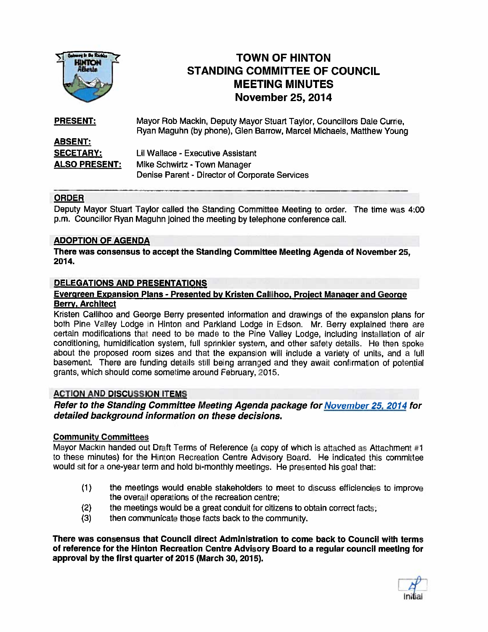

# TOWN OF HINTON STANDING COMMITTEE OF COUNCIL MEETING MINUTES November 25, 2014

PRESENT: Mayor Rob Mackin, Deputy Mayor Stuart Taylor, Councillors Dale Currie, Ryan Maguhn (by phone), Glen Barrow, Marcel Michaels, Matthew Young

| <u>ABSENT:</u>       |            |
|----------------------|------------|
| <u>SECETARY:</u>     | Lil Wallac |
| <b>ALSO PRESENT:</b> | Mike Schy  |
|                      |            |

e - Executive Assistant wirtz - Town Manager Denise Parent - Director of Corporate Services

# ORDER

Deputy Mayor Stuart Taylor called the Standing Committee Meeting to order. The time was 4:00 p.m. Councillor Ryan Maguhn joined the meeting by telephone conference call.

# ADOPTION OF AGENDA

There was consensus to accep<sup>t</sup> the Standing Committee Meeting Agenda of November 25, 2014.

# DELEGATIONS AND PRESENTATIONS

## Evergreen Expansion Plans - Presented by Kristen Callihoo, Project Manager and George Berry, Architect

Kristen Callihoo and George Berry presented information and drawings of the expansion <sup>p</sup>lans for both Pine Valley Lodge in Hinton and Parkland Lodge in Edson. Mr. Berry explained there are certain modifications that need to be made to the Pine Valley Lodge, including installation of air conditioning, humidification system, full sprinkler system, and other safety details. He then spoke about the proposed room sizes and that the expansion will include <sup>a</sup> variety of units, and <sup>a</sup> full basement, There are funding details still being arranged and they await confirmation of potential grants, which should come sometime around February, 2015.

# ACTION AND DISCUSSION ITEMS

# Refer to the Standing Committee Meeting Agenda package for November25, 2014 for detailed background information on these decisions.

# Community Committees

Mayor Mackin handed out Draft Terms of Reference (a copy of which is attached as Attachment #1 to these minutes) for the Hinton Recreation Centre Advisory Board. He indicated this committee would sit for <sup>a</sup> one-year term and hold bi-monthly meetings. He presented his goa<sup>l</sup> that:

- (1) the meetings would enable stakeholders to meet to discuss efficiencies to improve the overall operations of the recreation centre;
- (2) the meetings would be <sup>a</sup> grea<sup>t</sup> conduit for citizens to obtain correct facts;
- (3) then communicate those facts back to the community.

There was consensus that Council direct Administration to come back to Council with terms of reference for the Hinton Recreation Centre Advisory Board to <sup>a</sup> regular council meeting for approval by the first quarter of 2015 (March 30, 2015).

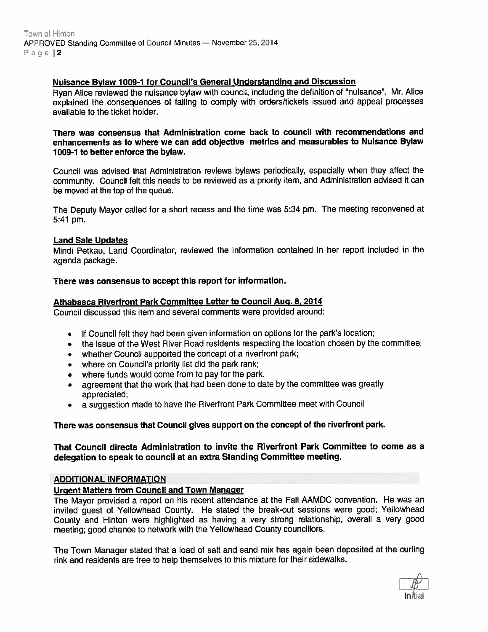# Nuisance Bylaw 1009-1 for Council's General Understanding and Discussion

Ryan Alice reviewed the nuisance bylaw with council, including the definition of "nuisance". Mr. Alice explained the consequences of tailing to comply with orders/tickets issued and appea<sup>l</sup> processes available to the ticket holder.

### There was consensus that Administration come back to council with recommendations and enhancements as to where we can add objective metrics and measurables to Nuisance Bylaw 1009-1 to better enforce the bylaw.

Council was advised that Administration reviews bylaws periodically, especially when they affect the community. Council felt this needs to be reviewed as <sup>a</sup> priority item, and Administration advised it can be moved at the top of the queue.

The Deputy Mayor called for <sup>a</sup> short recess and the time was 5:34 pm. The meeting reconvened at 5:41 pm.

### Land Sale Updates

Mmdi Petkau, Land Coordinator, reviewed the information contained in her repor<sup>t</sup> included in the agenda package.

# There was consensus to accep<sup>t</sup> this repor<sup>t</sup> for information,

# Athabasca Riverfront Park Committee Letter to Council Aug. 8,2014

Council discussed this item and several comments were provided around:

- if Council felt they had been <sup>g</sup>iven information on options for the park's location;
- the issue of the West River Road residents respecting the location chosen by the committee;
- •whether Council supported the concep<sup>t</sup> of <sup>a</sup> riverfront park;
- where on Council's priority list did the park rank:
- •where funds would come from to pay for the park.
- • agreemen<sup>t</sup> that the work that had been done to date by the committee was greatly appreciated;
- a suggestion made to have the Riverfront Park Committee meet with Council

### There was consensus that Council <sup>g</sup>ives suppor<sup>t</sup> on the concep<sup>t</sup> of the riverfront park.

That Council directs Administration to invite the Riverfront Park Committee to come as <sup>a</sup> delegation to spea<sup>k</sup> to council at an extra Standing Committee meeting.

### ADDITIONAL INFORMATION

### Urgent Matters from Council and Town Manager

The Mayor provided <sup>a</sup> repor<sup>t</sup> on his recent attendance at the Fall AAMDC convention. He was an invited gues<sup>t</sup> of Yellowhead County. He stated the break-out sessions were good; Yellowhead County and Hinton were highlighted as having <sup>a</sup> very strong relationship, overall <sup>a</sup> very goo<sup>d</sup> meeting; good chance to network with the Yellowhead County councillors.

The Town Manager stated that <sup>a</sup> load of salt and sand mix has again been deposited at the curling rink and residents are free to help themselves to this mixture for their sidewalks.

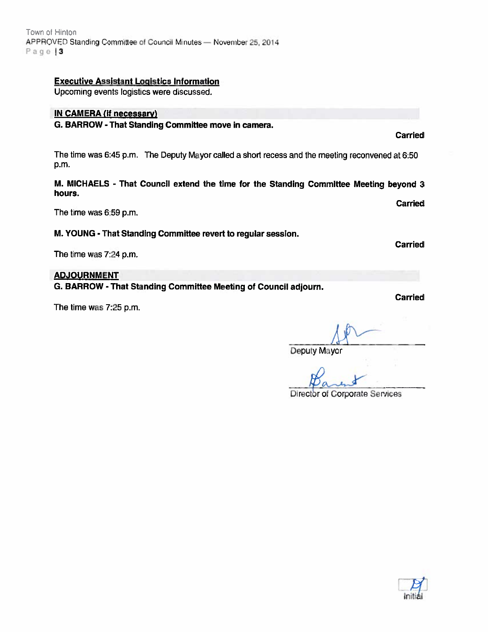#### Executive Assistant Logistics Information

Upcoming events logistics were discussed.

#### IN CAMERA (if necessary)

G. BARROW - That Standing Committee move in camera.

The time was 6:45 p.m. The Deputy Mayor called <sup>a</sup> short recess and the meeting reconvened at 6:50 p.m.

M. MICHAELS - That Council extend the time for the Standing Committee Meeting beyond 3 hours.

The time was 6:59 p.m.

#### M. YOUNG - That Standing Committee revert to regular session.

The time was 7:24 p.m.

#### ADJOURNMENT

G. BARROW - That Standing Committee Meeting of Council adjourn.

The time was 7:25 p.m.

Deputy Mayor

Directbr of Corporate Services



Carried

Carried

Carried

Carried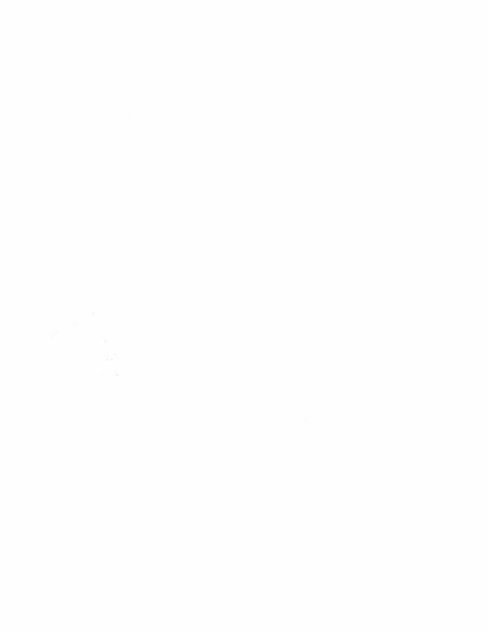$\label{eq:2.1} \mathcal{C}=\mathcal{C}^{\dagger}=\mathcal{C}^{\dagger}$